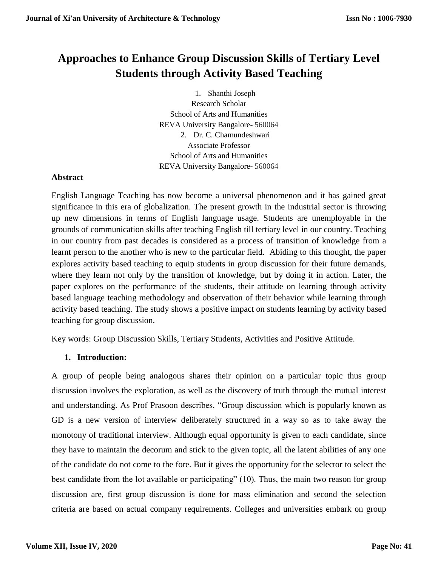# **Approaches to Enhance Group Discussion Skills of Tertiary Level Students through Activity Based Teaching**

1. Shanthi Joseph Research Scholar School of Arts and Humanities REVA University Bangalore- 560064 2. Dr. C. Chamundeshwari Associate Professor School of Arts and Humanities REVA University Bangalore- 560064

## **Abstract**

English Language Teaching has now become a universal phenomenon and it has gained great significance in this era of globalization. The present growth in the industrial sector is throwing up new dimensions in terms of English language usage. Students are unemployable in the grounds of communication skills after teaching English till tertiary level in our country. Teaching in our country from past decades is considered as a process of transition of knowledge from a learnt person to the another who is new to the particular field. Abiding to this thought, the paper explores activity based teaching to equip students in group discussion for their future demands, where they learn not only by the transition of knowledge, but by doing it in action. Later, the paper explores on the performance of the students, their attitude on learning through activity based language teaching methodology and observation of their behavior while learning through activity based teaching. The study shows a positive impact on students learning by activity based teaching for group discussion.

Key words: Group Discussion Skills, Tertiary Students, Activities and Positive Attitude.

# **1. Introduction:**

A group of people being analogous shares their opinion on a particular topic thus group discussion involves the exploration, as well as the discovery of truth through the mutual interest and understanding. As Prof Prasoon describes, "Group discussion which is popularly known as GD is a new version of interview deliberately structured in a way so as to take away the monotony of traditional interview. Although equal opportunity is given to each candidate, since they have to maintain the decorum and stick to the given topic, all the latent abilities of any one of the candidate do not come to the fore. But it gives the opportunity for the selector to select the best candidate from the lot available or participating" (10). Thus, the main two reason for group discussion are, first group discussion is done for mass elimination and second the selection criteria are based on actual company requirements. Colleges and universities embark on group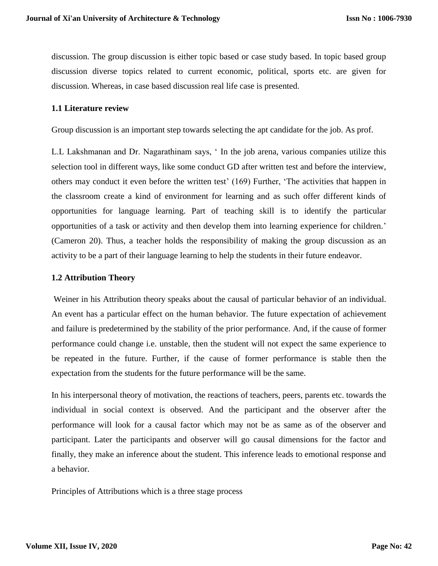discussion. The group discussion is either topic based or case study based. In topic based group discussion diverse topics related to current economic, political, sports etc. are given for discussion. Whereas, in case based discussion real life case is presented.

#### **1.1 Literature review**

Group discussion is an important step towards selecting the apt candidate for the job. As prof.

L.L Lakshmanan and Dr. Nagarathinam says, ' In the job arena, various companies utilize this selection tool in different ways, like some conduct GD after written test and before the interview, others may conduct it even before the written test' (169) Further, 'The activities that happen in the classroom create a kind of environment for learning and as such offer different kinds of opportunities for language learning. Part of teaching skill is to identify the particular opportunities of a task or activity and then develop them into learning experience for children.' (Cameron 20). Thus, a teacher holds the responsibility of making the group discussion as an activity to be a part of their language learning to help the students in their future endeavor.

#### **1.2 Attribution Theory**

Weiner in his Attribution theory speaks about the causal of particular behavior of an individual. An event has a particular effect on the human behavior. The future expectation of achievement and failure is predetermined by the stability of the prior performance. And, if the cause of former performance could change i.e. unstable, then the student will not expect the same experience to be repeated in the future. Further, if the cause of former performance is stable then the expectation from the students for the future performance will be the same.

In his interpersonal theory of motivation, the reactions of teachers, peers, parents etc. towards the individual in social context is observed. And the participant and the observer after the performance will look for a causal factor which may not be as same as of the observer and participant. Later the participants and observer will go causal dimensions for the factor and finally, they make an inference about the student. This inference leads to emotional response and a behavior.

Principles of Attributions which is a three stage process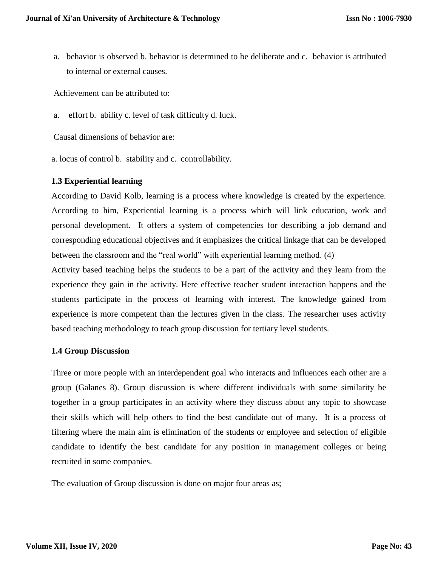a. behavior is observed b. behavior is determined to be deliberate and c. behavior is attributed to internal or external causes.

Achievement can be attributed to:

a. effort b. ability c. level of task difficulty d. luck.

Causal dimensions of behavior are:

a. locus of control b. stability and c. controllability.

## **1.3 Experiential learning**

According to David Kolb, learning is a process where knowledge is created by the experience. According to him, Experiential learning is a process which will link education, work and personal development. It offers a system of competencies for describing a job demand and corresponding educational objectives and it emphasizes the critical linkage that can be developed between the classroom and the "real world" with experiential learning method. (4)

Activity based teaching helps the students to be a part of the activity and they learn from the experience they gain in the activity. Here effective teacher student interaction happens and the students participate in the process of learning with interest. The knowledge gained from experience is more competent than the lectures given in the class. The researcher uses activity based teaching methodology to teach group discussion for tertiary level students.

## **1.4 Group Discussion**

Three or more people with an interdependent goal who interacts and influences each other are a group (Galanes 8). Group discussion is where different individuals with some similarity be together in a group participates in an activity where they discuss about any topic to showcase their skills which will help others to find the best candidate out of many. It is a process of filtering where the main aim is elimination of the students or employee and selection of eligible candidate to identify the best candidate for any position in management colleges or being recruited in some companies.

The evaluation of Group discussion is done on major four areas as;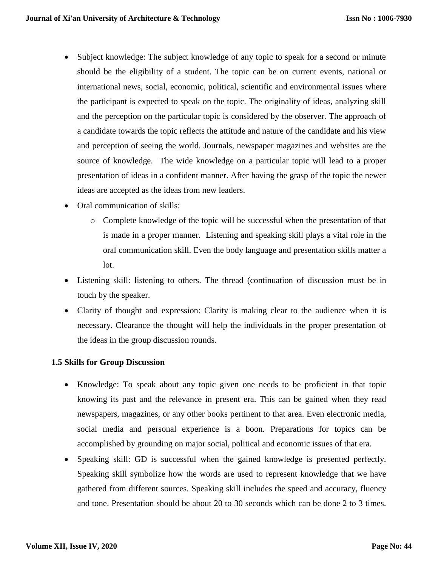- Subject knowledge: The subject knowledge of any topic to speak for a second or minute should be the eligibility of a student. The topic can be on current events, national or international news, social, economic, political, scientific and environmental issues where the participant is expected to speak on the topic. The originality of ideas, analyzing skill and the perception on the particular topic is considered by the observer. The approach of a candidate towards the topic reflects the attitude and nature of the candidate and his view and perception of seeing the world. Journals, newspaper magazines and websites are the source of knowledge. The wide knowledge on a particular topic will lead to a proper presentation of ideas in a confident manner. After having the grasp of the topic the newer ideas are accepted as the ideas from new leaders.
- Oral communication of skills:
	- o Complete knowledge of the topic will be successful when the presentation of that is made in a proper manner. Listening and speaking skill plays a vital role in the oral communication skill. Even the body language and presentation skills matter a lot.
- Listening skill: listening to others. The thread (continuation of discussion must be in touch by the speaker.
- Clarity of thought and expression: Clarity is making clear to the audience when it is necessary. Clearance the thought will help the individuals in the proper presentation of the ideas in the group discussion rounds.

# **1.5 Skills for Group Discussion**

- Knowledge: To speak about any topic given one needs to be proficient in that topic knowing its past and the relevance in present era. This can be gained when they read newspapers, magazines, or any other books pertinent to that area. Even electronic media, social media and personal experience is a boon. Preparations for topics can be accomplished by grounding on major social, political and economic issues of that era.
- Speaking skill: GD is successful when the gained knowledge is presented perfectly. Speaking skill symbolize how the words are used to represent knowledge that we have gathered from different sources. Speaking skill includes the speed and accuracy, fluency and tone. Presentation should be about 20 to 30 seconds which can be done 2 to 3 times.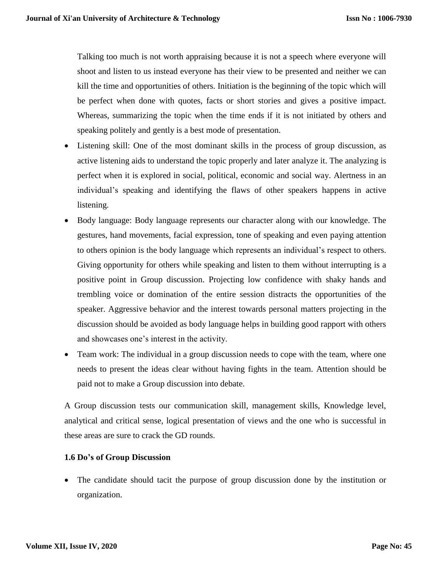Talking too much is not worth appraising because it is not a speech where everyone will shoot and listen to us instead everyone has their view to be presented and neither we can kill the time and opportunities of others. Initiation is the beginning of the topic which will be perfect when done with quotes, facts or short stories and gives a positive impact. Whereas, summarizing the topic when the time ends if it is not initiated by others and speaking politely and gently is a best mode of presentation.

- Listening skill: One of the most dominant skills in the process of group discussion, as active listening aids to understand the topic properly and later analyze it. The analyzing is perfect when it is explored in social, political, economic and social way. Alertness in an individual's speaking and identifying the flaws of other speakers happens in active listening.
- Body language: Body language represents our character along with our knowledge. The gestures, hand movements, facial expression, tone of speaking and even paying attention to others opinion is the body language which represents an individual's respect to others. Giving opportunity for others while speaking and listen to them without interrupting is a positive point in Group discussion. Projecting low confidence with shaky hands and trembling voice or domination of the entire session distracts the opportunities of the speaker. Aggressive behavior and the interest towards personal matters projecting in the discussion should be avoided as body language helps in building good rapport with others and showcases one's interest in the activity.
- Team work: The individual in a group discussion needs to cope with the team, where one needs to present the ideas clear without having fights in the team. Attention should be paid not to make a Group discussion into debate.

A Group discussion tests our communication skill, management skills, Knowledge level, analytical and critical sense, logical presentation of views and the one who is successful in these areas are sure to crack the GD rounds.

## **1.6 Do's of Group Discussion**

 The candidate should tacit the purpose of group discussion done by the institution or organization.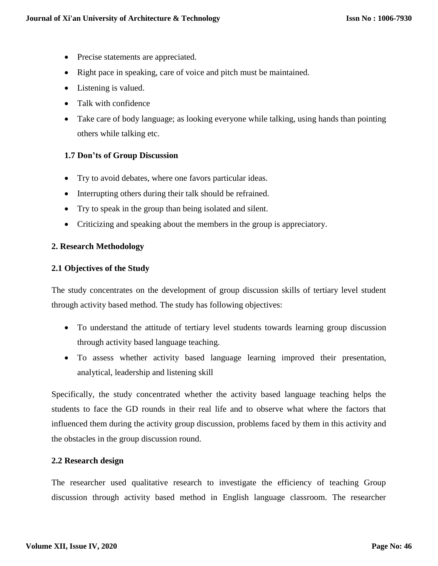- Precise statements are appreciated.
- Right pace in speaking, care of voice and pitch must be maintained.
- Listening is valued.
- Talk with confidence
- Take care of body language; as looking everyone while talking, using hands than pointing others while talking etc.

## **1.7 Don'ts of Group Discussion**

- Try to avoid debates, where one favors particular ideas.
- Interrupting others during their talk should be refrained.
- Try to speak in the group than being isolated and silent.
- Criticizing and speaking about the members in the group is appreciatory.

#### **2. Research Methodology**

#### **2.1 Objectives of the Study**

The study concentrates on the development of group discussion skills of tertiary level student through activity based method. The study has following objectives:

- To understand the attitude of tertiary level students towards learning group discussion through activity based language teaching.
- To assess whether activity based language learning improved their presentation, analytical, leadership and listening skill

Specifically, the study concentrated whether the activity based language teaching helps the students to face the GD rounds in their real life and to observe what where the factors that influenced them during the activity group discussion, problems faced by them in this activity and the obstacles in the group discussion round.

## **2.2 Research design**

The researcher used qualitative research to investigate the efficiency of teaching Group discussion through activity based method in English language classroom. The researcher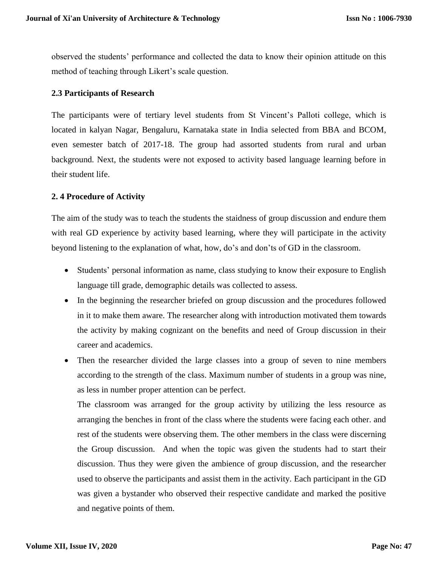observed the students' performance and collected the data to know their opinion attitude on this method of teaching through Likert's scale question.

## **2.3 Participants of Research**

The participants were of tertiary level students from St Vincent's Palloti college, which is located in kalyan Nagar, Bengaluru, Karnataka state in India selected from BBA and BCOM, even semester batch of 2017-18. The group had assorted students from rural and urban background. Next, the students were not exposed to activity based language learning before in their student life.

## **2. 4 Procedure of Activity**

The aim of the study was to teach the students the staidness of group discussion and endure them with real GD experience by activity based learning, where they will participate in the activity beyond listening to the explanation of what, how, do's and don'ts of GD in the classroom.

- Students' personal information as name, class studying to know their exposure to English language till grade, demographic details was collected to assess.
- In the beginning the researcher briefed on group discussion and the procedures followed in it to make them aware. The researcher along with introduction motivated them towards the activity by making cognizant on the benefits and need of Group discussion in their career and academics.
- Then the researcher divided the large classes into a group of seven to nine members according to the strength of the class. Maximum number of students in a group was nine, as less in number proper attention can be perfect.

The classroom was arranged for the group activity by utilizing the less resource as arranging the benches in front of the class where the students were facing each other. and rest of the students were observing them. The other members in the class were discerning the Group discussion. And when the topic was given the students had to start their discussion. Thus they were given the ambience of group discussion, and the researcher used to observe the participants and assist them in the activity. Each participant in the GD was given a bystander who observed their respective candidate and marked the positive and negative points of them.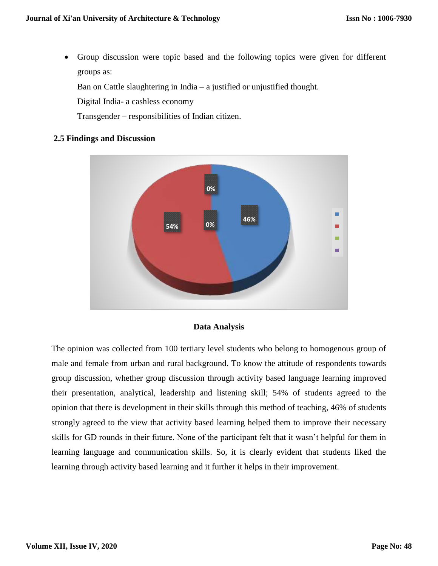Group discussion were topic based and the following topics were given for different groups as:

Ban on Cattle slaughtering in India – a justified or unjustified thought.

Digital India- a cashless economy

Transgender – responsibilities of Indian citizen.

## **2.5 Findings and Discussion**



## **Data Analysis**

The opinion was collected from 100 tertiary level students who belong to homogenous group of male and female from urban and rural background. To know the attitude of respondents towards group discussion, whether group discussion through activity based language learning improved their presentation, analytical, leadership and listening skill; 54% of students agreed to the opinion that there is development in their skills through this method of teaching, 46% of students strongly agreed to the view that activity based learning helped them to improve their necessary skills for GD rounds in their future. None of the participant felt that it wasn't helpful for them in learning language and communication skills. So, it is clearly evident that students liked the learning through activity based learning and it further it helps in their improvement.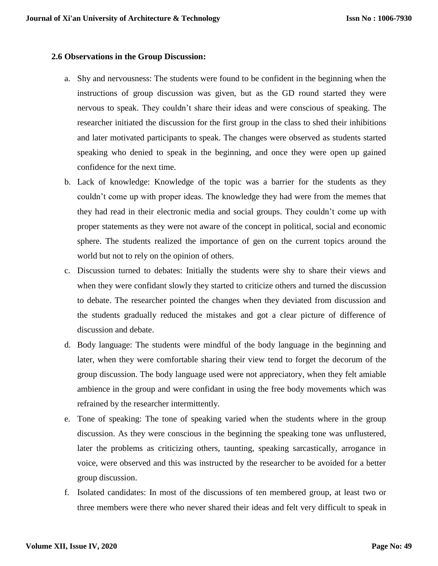#### **2.6 Observations in the Group Discussion:**

- a. Shy and nervousness: The students were found to be confident in the beginning when the instructions of group discussion was given, but as the GD round started they were nervous to speak. They couldn't share their ideas and were conscious of speaking. The researcher initiated the discussion for the first group in the class to shed their inhibitions and later motivated participants to speak. The changes were observed as students started speaking who denied to speak in the beginning, and once they were open up gained confidence for the next time.
- b. Lack of knowledge: Knowledge of the topic was a barrier for the students as they couldn't come up with proper ideas. The knowledge they had were from the memes that they had read in their electronic media and social groups. They couldn't come up with proper statements as they were not aware of the concept in political, social and economic sphere. The students realized the importance of gen on the current topics around the world but not to rely on the opinion of others.
- c. Discussion turned to debates: Initially the students were shy to share their views and when they were confidant slowly they started to criticize others and turned the discussion to debate. The researcher pointed the changes when they deviated from discussion and the students gradually reduced the mistakes and got a clear picture of difference of discussion and debate.
- d. Body language: The students were mindful of the body language in the beginning and later, when they were comfortable sharing their view tend to forget the decorum of the group discussion. The body language used were not appreciatory, when they felt amiable ambience in the group and were confidant in using the free body movements which was refrained by the researcher intermittently.
- e. Tone of speaking: The tone of speaking varied when the students where in the group discussion. As they were conscious in the beginning the speaking tone was unflustered, later the problems as criticizing others, taunting, speaking sarcastically, arrogance in voice, were observed and this was instructed by the researcher to be avoided for a better group discussion.
- f. Isolated candidates: In most of the discussions of ten membered group, at least two or three members were there who never shared their ideas and felt very difficult to speak in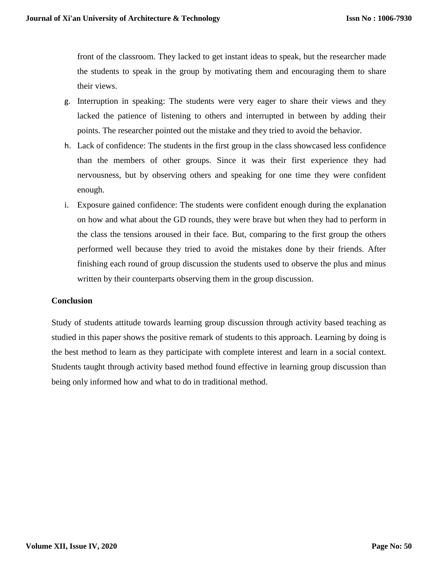front of the classroom. They lacked to get instant ideas to speak, but the researcher made the students to speak in the group by motivating them and encouraging them to share their views.

- g. Interruption in speaking: The students were very eager to share their views and they lacked the patience of listening to others and interrupted in between by adding their points. The researcher pointed out the mistake and they tried to avoid the behavior.
- h. Lack of confidence: The students in the first group in the class showcased less confidence than the members of other groups. Since it was their first experience they had nervousness, but by observing others and speaking for one time they were confident enough.
- i. Exposure gained confidence: The students were confident enough during the explanation on how and what about the GD rounds, they were brave but when they had to perform in the class the tensions aroused in their face. But, comparing to the first group the others performed well because they tried to avoid the mistakes done by their friends. After finishing each round of group discussion the students used to observe the plus and minus written by their counterparts observing them in the group discussion.

## **Conclusion**

Study of students attitude towards learning group discussion through activity based teaching as studied in this paper shows the positive remark of students to this approach. Learning by doing is the best method to learn as they participate with complete interest and learn in a social context. Students taught through activity based method found effective in learning group discussion than being only informed how and what to do in traditional method.